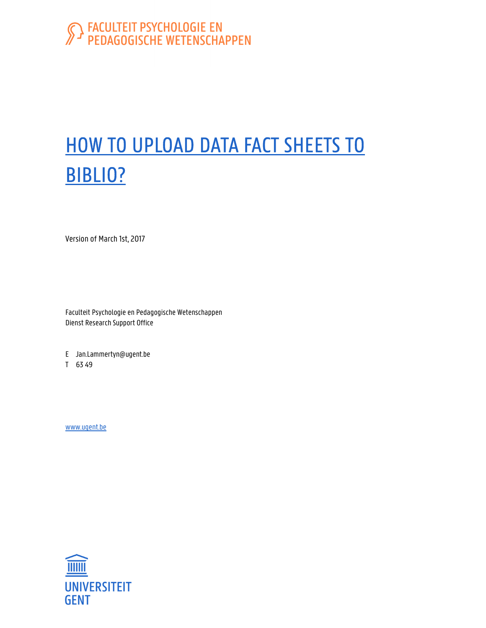# S FACULTEIT PSYCHOLOGIE EN

# HOW TO UPLOAD DATA FACT SHEETS TO BIBLIO?

Version of March 1st, 2017

Faculteit Psychologie en Pedagogische Wetenschappen Dienst Research Support Office

E Jan.Lammertyn@ugent.be

T 63 49

www.ugent.be

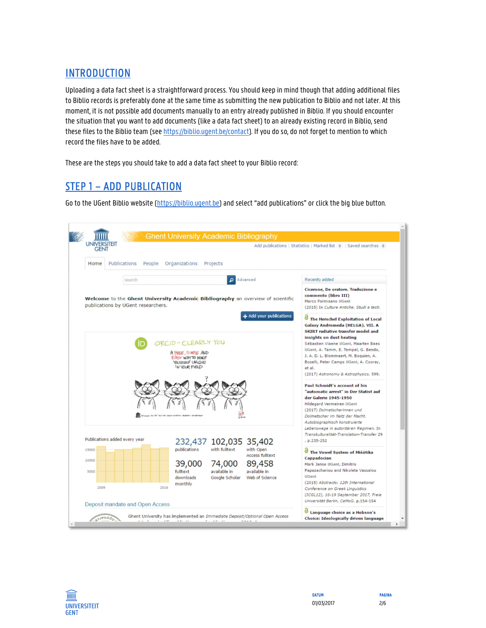#### **INTRODUCTION**

Uploading a data fact sheet is a straightforward process. You should keep in mind though that adding additional files to Biblio records is preferably done at the same time as submitting the new publication to Biblio and not later. At this moment, it is not possible add documents manually to an entry already published in Biblio. If you should encounter the situation that you want to add documents (like a data fact sheet) to an already existing record in Biblio, send these files to the Biblio team (see https://biblio.ugent.be/contact). If you do so, do not forget to mention to which record the files have to be added.

These are the steps you should take to add a data fact sheet to your Biblio record:

#### STEP 1 – ADD PUBLICATION

Go to the UGent Biblio website (https://biblio.ugent.be) and select "add publications" or click the big blue button.



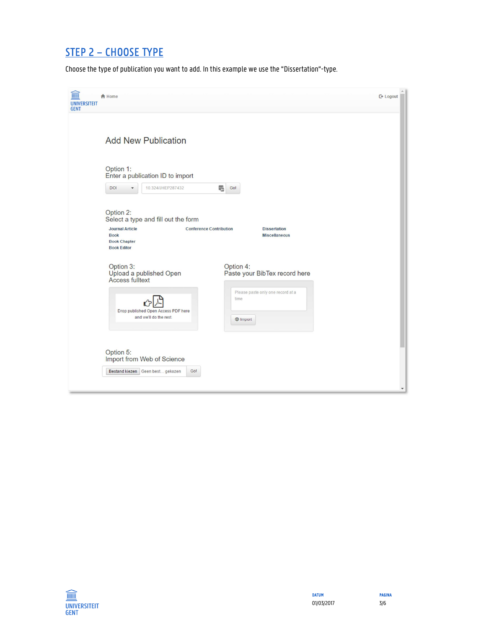## STEP 2 – CHOOSE TYPE

Choose the type of publication you want to add. In this example we use the "Dissertation"-type.

| $\widehat{1}$<br><b>UNIVERSITEIT</b><br><b>GENT</b> | <b>合</b> Home                                                                                                                                                                                                                                   | $C*$ Logout |  |  |  |  |
|-----------------------------------------------------|-------------------------------------------------------------------------------------------------------------------------------------------------------------------------------------------------------------------------------------------------|-------------|--|--|--|--|
|                                                     | <b>Add New Publication</b>                                                                                                                                                                                                                      |             |  |  |  |  |
|                                                     | Option 1:<br>Enter a publication ID to import                                                                                                                                                                                                   |             |  |  |  |  |
|                                                     | DOI<br>10.324/JHEP287432<br>鴨<br>Go!                                                                                                                                                                                                            |             |  |  |  |  |
|                                                     | Option 2:<br>Select a type and fill out the form<br><b>Journal Article</b><br><b>Conference Contribution</b><br><b>Dissertation</b><br><b>Book</b><br><b>Miscellaneous</b><br><b>Book Chapter</b><br><b>Book Editor</b>                         |             |  |  |  |  |
|                                                     | Option 3:<br>Option 4:<br>Upload a published Open<br>Paste your BibTex record here<br><b>Access fulltext</b><br>Please paste only one record at a<br>time<br>Drop published Open Access PDF here<br>and we'll do the rest.<br>$\bigcirc$ Import |             |  |  |  |  |
|                                                     | Option 5:<br>Import from Web of Science<br>Go!<br>Bestand kiezen   Geen best gekozen                                                                                                                                                            | ۰           |  |  |  |  |

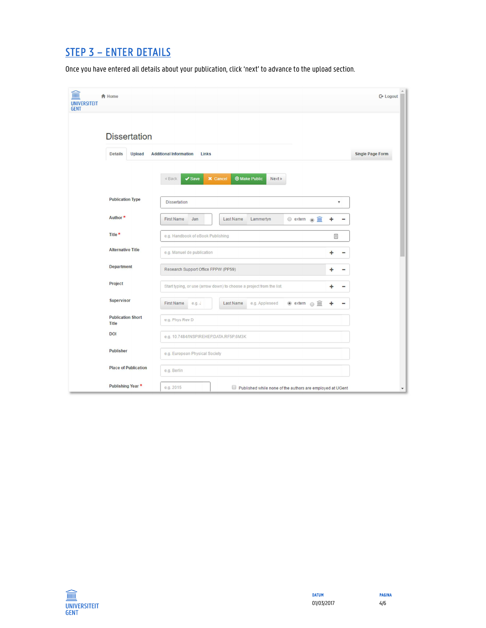## STEP 3 – ENTER DETAILS

Once you have entered all details about your publication, click 'next' to advance to the upload section.

| I<br><b>合</b> Home<br><b>UNIVERSITEIT</b><br><b>GENT</b> |                                                         |                                                                                       | <b>□</b> Logout         |  |  |
|----------------------------------------------------------|---------------------------------------------------------|---------------------------------------------------------------------------------------|-------------------------|--|--|
| <b>Dissertation</b>                                      |                                                         |                                                                                       |                         |  |  |
| <b>Details</b>                                           | <b>Upload</b><br><b>Additional Information</b><br>Links |                                                                                       | <b>Single Page Form</b> |  |  |
|                                                          | $\vee$ Save<br>« Back                                   | <b>X</b> Cancel<br><b>Make Public</b><br>Next »                                       |                         |  |  |
| <b>Publication Type</b>                                  | <b>Dissertation</b>                                     | 7                                                                                     |                         |  |  |
| Author*                                                  | <b>First Name</b><br>Jan                                | $\circ$ extern $\circ$<br><b>Last Name</b><br>Lammertyn<br>٠                          | -                       |  |  |
| Title *                                                  |                                                         | e.g. Handbook of eBook Publishing<br>固                                                |                         |  |  |
| <b>Alternative Title</b>                                 | e.g. Manuel de publication                              | ۰                                                                                     |                         |  |  |
| <b>Department</b>                                        |                                                         | Research Support Office FPPW (PP59)<br>÷                                              |                         |  |  |
| Project                                                  |                                                         | Start typing, or use (arrow down) to choose a project from the list.                  |                         |  |  |
| <b>Supervisor</b>                                        | <b>First Name</b><br>e.g. J                             | $\circledcirc$ extern $\circledcirc$ $\mathbb{I}$<br>Last Name<br>e.g. Appleseed<br>۰ | -                       |  |  |
| <b>Publication Short</b><br><b>Title</b>                 | e.g. Phys Rev D                                         |                                                                                       |                         |  |  |
| <b>DOI</b>                                               | e.g. 10.7484/INSPIREHEP.DATA.RF5P.6M3K                  |                                                                                       |                         |  |  |
| <b>Publisher</b>                                         | e.g. European Physical Society                          |                                                                                       |                         |  |  |
| <b>Place of Publication</b>                              | e.g. Berlin                                             |                                                                                       |                         |  |  |
| Publishing Year *                                        | e.g. 2015                                               | Published while none of the authors are employed at UGent                             | $\blacktriangledown$    |  |  |

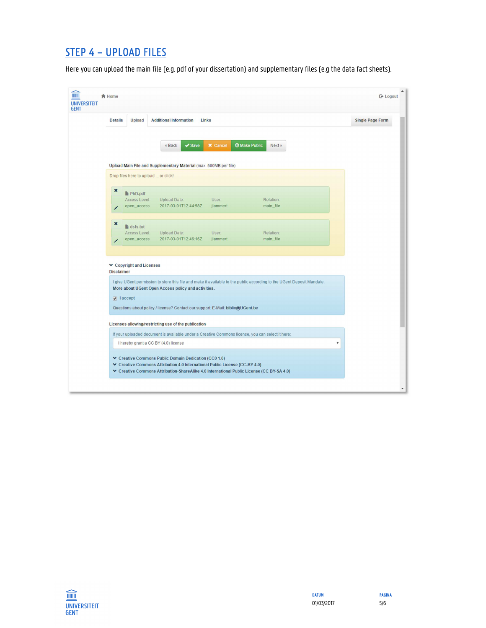#### STEP 4 – UPLOAD FILES

Here you can upload the main file (e.g. pdf of your dissertation) and supplementary files (e.g the data fact sheets).

| <b>合</b> Home                        |                                                                                                                                                          |                 |                                                                                                                        | <b>□</b> Logout         |
|--------------------------------------|----------------------------------------------------------------------------------------------------------------------------------------------------------|-----------------|------------------------------------------------------------------------------------------------------------------------|-------------------------|
| <b>Details</b><br><b>Upload</b>      | <b>Additional Information</b>                                                                                                                            | Links           |                                                                                                                        | <b>Single Page Form</b> |
|                                      | $\sqrt{\text{Save}}$<br>« Back                                                                                                                           | <b>X</b> Cancel | <b>Make Public</b><br>Next »                                                                                           |                         |
|                                      |                                                                                                                                                          |                 |                                                                                                                        |                         |
|                                      | Upload Main File and Supplementary Material (max. 500MB per file)                                                                                        |                 |                                                                                                                        |                         |
| Drop files here to upload  or click! |                                                                                                                                                          |                 |                                                                                                                        |                         |
| ×<br><b>PhD.pdf</b>                  |                                                                                                                                                          |                 |                                                                                                                        |                         |
| Access Level:                        | <b>Upload Date:</b>                                                                                                                                      | User:           | Relation:                                                                                                              |                         |
| open_access                          | 2017-03-01T12:44:58Z                                                                                                                                     | jlammert        | main_file                                                                                                              |                         |
| ×<br>$\mathbf{F}$ dsfs.txt           |                                                                                                                                                          |                 |                                                                                                                        |                         |
| Access Level:                        | <b>Upload Date:</b>                                                                                                                                      | User:           | Relation:                                                                                                              |                         |
| open_access                          | 2017-03-01T12:46:16Z                                                                                                                                     | jlammert        | main_file                                                                                                              |                         |
|                                      |                                                                                                                                                          |                 |                                                                                                                        |                         |
| ▼ Copyright and Licenses             |                                                                                                                                                          |                 |                                                                                                                        |                         |
| <b>Disclaimer</b>                    |                                                                                                                                                          |                 |                                                                                                                        |                         |
|                                      | More about UGent Open Access policy and activities.                                                                                                      |                 | I give UGent permission to store this file and make it available to the public according to the UGent Deposit Mandate. |                         |
| $\sqrt{ }$ laccept                   |                                                                                                                                                          |                 |                                                                                                                        |                         |
|                                      | Questions about policy / license? Contact our support: E-Mail: biblio@UGent.be                                                                           |                 |                                                                                                                        |                         |
|                                      |                                                                                                                                                          |                 |                                                                                                                        |                         |
|                                      | Licenses allowing/restricting use of the publication<br>If your uploaded document is available under a Creative Commons license, you can select it here: |                 |                                                                                                                        |                         |
|                                      | I hereby grant a CC BY (4.0) license                                                                                                                     |                 |                                                                                                                        | $\pmb{\mathrm{v}}$      |
|                                      |                                                                                                                                                          |                 |                                                                                                                        |                         |
|                                      | ▼ Creative Commons Public Domain Dedication (CC0 1.0)                                                                                                    |                 |                                                                                                                        |                         |
|                                      | ▼ Creative Commons Attribution 4.0 International Public License (CC-BY 4.0)                                                                              |                 |                                                                                                                        |                         |